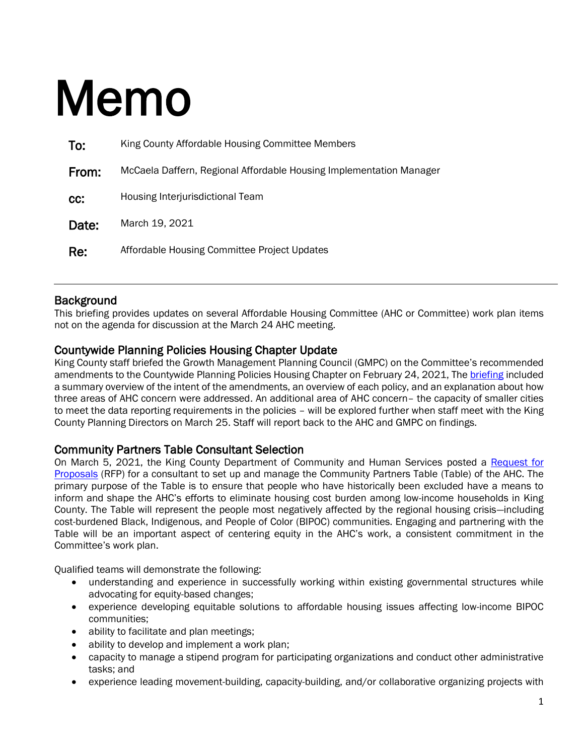# Memo

| To:   | King County Affordable Housing Committee Members                    |
|-------|---------------------------------------------------------------------|
| From: | McCaela Daffern, Regional Affordable Housing Implementation Manager |
| CC:   | Housing Interjurisdictional Team                                    |
| Date: | March 19, 2021                                                      |
| Re:   | Affordable Housing Committee Project Updates                        |

#### **Background**

This briefing provides updates on several Affordable Housing Committee (AHC or Committee) work plan items not on the agenda for discussion at the March 24 AHC meeting.

#### Countywide Planning Policies Housing Chapter Update

King County staff briefed the Growth Management Planning Council (GMPC) on the Committee's recommended amendments to the Countywide Planning Policies Housing Chapter on February 24, 2021, The [briefing](https://edit.kingcounty.gov/depts/community-human-services/housing/affordable-housing-committee/~/media/depts/community-human-services/housing-homelessness-community-development/documents/affordable-housing-committee/GMPC_HousingCPPs_2021_Update_Staff_Report_2021,-d-,02,-d-,24.ashx?la=en) included a summary overview of the intent of the amendments, an overview of each policy, and an explanation about how three areas of AHC concern were addressed. An additional area of AHC concern– the capacity of smaller cities to meet the data reporting requirements in the policies – will be explored further when staff meet with the King County Planning Directors on March 25. Staff will report back to the AHC and GMPC on findings.

#### Community Partners Table Consultant Selection

On March 5, 2021, the King County Department of Community and Human Services posted a [Request for](https://www.zoomgrants.com/zgf/CommunityPartnersTable)  [Proposals](https://www.zoomgrants.com/zgf/CommunityPartnersTable) (RFP) for a consultant to set up and manage the Community Partners Table (Table) of the AHC. The primary purpose of the Table is to ensure that people who have historically been excluded have a means to inform and shape the AHC's efforts to eliminate housing cost burden among low-income households in King County. The Table will represent the people most negatively affected by the regional housing crisis—including cost-burdened Black, Indigenous, and People of Color (BIPOC) communities. Engaging and partnering with the Table will be an important aspect of centering equity in the AHC's work, a consistent commitment in the Committee's work plan.

Qualified teams will demonstrate the following:

- understanding and experience in successfully working within existing governmental structures while advocating for equity-based changes;
- experience developing equitable solutions to affordable housing issues affecting low-income BIPOC communities;
- ability to facilitate and plan meetings;
- ability to develop and implement a work plan;
- capacity to manage a stipend program for participating organizations and conduct other administrative tasks; and
- experience leading movement-building, capacity-building, and/or collaborative organizing projects with